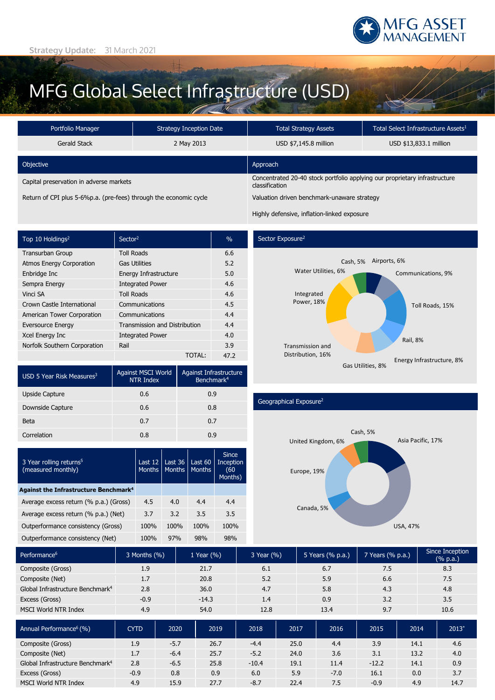

## MFG Global Select Infrastructure (USD)

| Portfolio Manager                       | <b>Strategy Inception Date</b> |                                                                                              | Total Select Infrastructure Assets <sup>1</sup> |  |  |
|-----------------------------------------|--------------------------------|----------------------------------------------------------------------------------------------|-------------------------------------------------|--|--|
| Gerald Stack                            | 2 May 2013                     | USD \$7,145.8 million                                                                        | USD \$13,833.1 million                          |  |  |
| Objective                               |                                | Approach                                                                                     |                                                 |  |  |
| Capital preservation in adverse markets |                                | Concentrated 20-40 stock portfolio applying our proprietary infrastructure<br>classification |                                                 |  |  |
|                                         |                                |                                                                                              |                                                 |  |  |

Return of CPI plus 5-6%p.a. (pre-fees) through the economic cycle Valuation driven benchmark-unaware strategy

Highly defensive, inflation-linked exposure

| Top 10 Holdings <sup>2</sup>    | Sector <sup>2</sup>                  | $\frac{0}{0}$ |
|---------------------------------|--------------------------------------|---------------|
| <b>Transurban Group</b>         | <b>Toll Roads</b>                    | 6.6           |
| <b>Atmos Energy Corporation</b> | <b>Gas Utilities</b>                 | 5.2           |
| Enbridge Inc                    | Energy Infrastructure                | 5.0           |
| Sempra Energy                   | <b>Integrated Power</b>              | 4.6           |
| Vinci SA                        | <b>Toll Roads</b>                    | 4.6           |
| Crown Castle International      | Communications                       | 4.5           |
| American Tower Corporation      | Communications                       | 4.4           |
| <b>Eversource Energy</b>        | <b>Transmission and Distribution</b> | 4.4           |
| Xcel Energy Inc                 | <b>Integrated Power</b>              | 4.0           |
| Norfolk Southern Corporation    | Rail                                 | 3.9           |
|                                 | <b>TOTAL:</b>                        | 47.2          |

| USD 5 Year Risk Measures <sup>3</sup> | Against MSCI World<br>NTR Index | Against Infrastructure<br>Benchmark <sup>4</sup> |  |  |
|---------------------------------------|---------------------------------|--------------------------------------------------|--|--|
| Upside Capture                        | 0.6                             | 0.9                                              |  |  |
| Downside Capture                      | 0.6                             | 0.8                                              |  |  |
| Beta                                  | 0.7                             | 0.7                                              |  |  |
| Correlation                           | 0.8                             | 0.9                                              |  |  |

| 3 Year rolling returns <sup>5</sup><br>(measured monthly) | Last $12$<br><b>Months</b> | Last 36<br><b>Months</b> | Last 60<br><b>Months</b> | <b>Since</b><br>Inception<br>(60<br>Months) |  |
|-----------------------------------------------------------|----------------------------|--------------------------|--------------------------|---------------------------------------------|--|
| Against the Infrastructure Benchmark <sup>4</sup>         |                            |                          |                          |                                             |  |
| Average excess return (% p.a.) (Gross)                    | 4.5                        | 4.0                      | 4.4                      | 4.4                                         |  |
| Average excess return (% p.a.) (Net)                      | 3.7                        | 3.2                      | 3.5                      | 3.5                                         |  |
| Outperformance consistency (Gross)                        | 100%                       | 100%                     | 100%                     | 100%                                        |  |
| Outperformance consistency (Net)                          | 100%                       | 97%                      | 98%                      | 98%                                         |  |

#### Sector Exposure<sup>2</sup>



#### Geographical Exposure2



| Performance <sup>6</sup>                     | 3 Months (%) | 1 Year $(\% )$ | 3 Year (%) | 5 Years (% p.a.) | 7 Years (% p.a.) | Since Inception<br>$(% \mathbf{a})$ (% p.a.) |
|----------------------------------------------|--------------|----------------|------------|------------------|------------------|----------------------------------------------|
| Composite (Gross)                            | 1.9          | 21.7           | 6.1        | 6.7              | 7.5              | 8.3                                          |
| Composite (Net)                              | 1.7          | 20.8           | 5.2        | 5.9              | 6.6              | 7.5                                          |
| Global Infrastructure Benchmark <sup>4</sup> | 2.8          | 36.0           | 4.7        | 5.8              | 4.3              | 4.8                                          |
| Excess (Gross)                               | $-0.9$       | $-14.3$        | 1.4        | 0.9              | 3.2              | 3.5                                          |
| MSCI World NTR Index                         | 4.9          | 54.0           | 12.8       | 13.4             | 9.7              | 10.6                                         |

| Annual Performance <sup>6</sup> (%) '        | <b>CYTD</b> | 2020   | 2019 | 2018    | 2017 | 2016   | 2015    | 2014 | $2013*$ |
|----------------------------------------------|-------------|--------|------|---------|------|--------|---------|------|---------|
| Composite (Gross)                            | 1.9         | $-5.7$ | 26.7 | $-4.4$  | 25.0 | 4.4    | 3.9     | 14.1 | 4.6     |
| Composite (Net)                              | 1.7         | $-6.4$ | 25.7 | $-5.2$  | 24.0 | 3.6    | 3.1     | 13.2 | 4.0     |
| Global Infrastructure Benchmark <sup>4</sup> | 2.8         | $-6.5$ | 25.8 | $-10.4$ | 19.1 | 11.4   | $-12.2$ | 14.1 | 0.9     |
| Excess (Gross)                               | $-0.9$      | 0.8    | 0.9  | 6.0     | 5.9  | $-7.0$ | 16.1    | 0.0  | 3.7     |
| <b>MSCI World NTR Index</b>                  | 4.9         | 15.9   | 27.7 | $-8.7$  | 22.4 | 7.5    | $-0.9$  | 4.9  | 14.7    |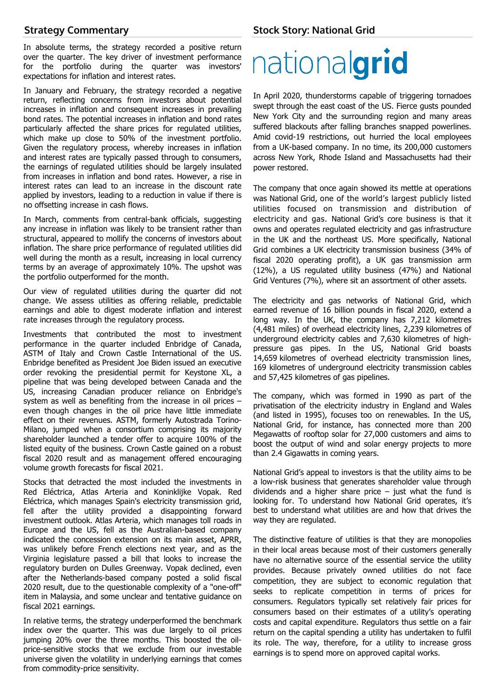### **Strategy Commentary**

In absolute terms, the strategy recorded a positive return over the quarter. The key driver of investment performance for the portfolio during the quarter was investors' expectations for inflation and interest rates.

In January and February, the strategy recorded a negative return, reflecting concerns from investors about potential increases in inflation and consequent increases in prevailing bond rates. The potential increases in inflation and bond rates particularly affected the share prices for regulated utilities, which make up close to 50% of the investment portfolio. Given the regulatory process, whereby increases in inflation and interest rates are typically passed through to consumers, the earnings of regulated utilities should be largely insulated from increases in inflation and bond rates. However, a rise in interest rates can lead to an increase in the discount rate applied by investors, leading to a reduction in value if there is no offsetting increase in cash flows.

In March, comments from central-bank officials, suggesting any increase in inflation was likely to be transient rather than structural, appeared to mollify the concerns of investors about inflation. The share price performance of regulated utilities did well during the month as a result, increasing in local currency terms by an average of approximately 10%. The upshot was the portfolio outperformed for the month.

Our view of regulated utilities during the quarter did not change. We assess utilities as offering reliable, predictable earnings and able to digest moderate inflation and interest rate increases through the regulatory process.

Investments that contributed the most to investment performance in the quarter included Enbridge of Canada, ASTM of Italy and Crown Castle International of the US. Enbridge benefited as President Joe Biden issued an executive order revoking the presidential permit for Keystone XL, a pipeline that was being developed between Canada and the US, increasing Canadian producer reliance on Enbridge's system as well as benefiting from the increase in oil prices – even though changes in the oil price have little immediate effect on their revenues. ASTM, formerly Autostrada Torino-Milano, jumped when a consortium comprising its majority shareholder launched a tender offer to acquire 100% of the listed equity of the business. Crown Castle gained on a robust fiscal 2020 result and as management offered encouraging volume growth forecasts for fiscal 2021.

Stocks that detracted the most included the investments in Red Eléctrica, Atlas Arteria and Koninklijke Vopak. Red Eléctrica, which manages Spain's electricity transmission grid, fell after the utility provided a disappointing forward investment outlook. Atlas Arteria, which manages toll roads in Europe and the US, fell as the Australian-based company indicated the concession extension on its main asset, APRR, was unlikely before French elections next year, and as the Virginia legislature passed a bill that looks to increase the regulatory burden on Dulles Greenway. Vopak declined, even after the Netherlands-based company posted a solid fiscal 2020 result, due to the questionable complexity of a "one-off" item in Malaysia, and some unclear and tentative guidance on fiscal 2021 earnings.

In relative terms, the strategy underperformed the benchmark index over the quarter. This was due largely to oil prices jumping 20% over the three months. This boosted the oilprice-sensitive stocks that we exclude from our investable universe given the volatility in underlying earnings that comes from commodity-price sensitivity.

### **Stock Story: National Grid**

# nationalgrid

In April 2020, thunderstorms capable of triggering tornadoes swept through the east coast of the US. Fierce gusts pounded New York City and the surrounding region and many areas suffered blackouts after falling branches snapped powerlines. Amid covid-19 restrictions, out hurried the local employees from a UK-based company. In no time, its 200,000 customers across New York, Rhode Island and Massachusetts had their power restored.

The company that once again showed its mettle at operations was National Grid, one of the world's largest publicly listed utilities focused on transmission and distribution of electricity and gas. National Grid's core business is that it owns and operates regulated electricity and gas infrastructure in the UK and the northeast US. More specifically, National Grid combines a UK electricity transmission business (34% of fiscal 2020 operating profit), a UK gas transmission arm (12%), a US regulated utility business (47%) and National Grid Ventures (7%), where sit an assortment of other assets.

The electricity and gas networks of National Grid, which earned revenue of 16 billion pounds in fiscal 2020, extend a long way. In the UK, the company has 7,212 kilometres (4,481 miles) of overhead electricity lines, 2,239 kilometres of underground electricity cables and 7,630 kilometres of highpressure gas pipes. In the US, National Grid boasts 14,659 kilometres of overhead electricity transmission lines, 169 kilometres of underground electricity transmission cables and 57,425 kilometres of gas pipelines.

The company, which was formed in 1990 as part of the privatisation of the electricity industry in England and Wales (and listed in 1995), focuses too on renewables. In the US, National Grid, for instance, has connected more than 200 Megawatts of rooftop solar for 27,000 customers and aims to boost the output of wind and solar energy projects to more than 2.4 Gigawatts in coming years.

National Grid's appeal to investors is that the utility aims to be a low-risk business that generates shareholder value through dividends and a higher share price  $-$  just what the fund is looking for. To understand how National Grid operates, it's best to understand what utilities are and how that drives the way they are regulated.

The distinctive feature of utilities is that they are monopolies in their local areas because most of their customers generally have no alternative source of the essential service the utility provides. Because privately owned utilities do not face competition, they are subject to economic regulation that seeks to replicate competition in terms of prices for consumers. Regulators typically set relatively fair prices for consumers based on their estimates of a utility's operating costs and capital expenditure. Regulators thus settle on a fair return on the capital spending a utility has undertaken to fulfil its role. The way, therefore, for a utility to increase gross earnings is to spend more on approved capital works.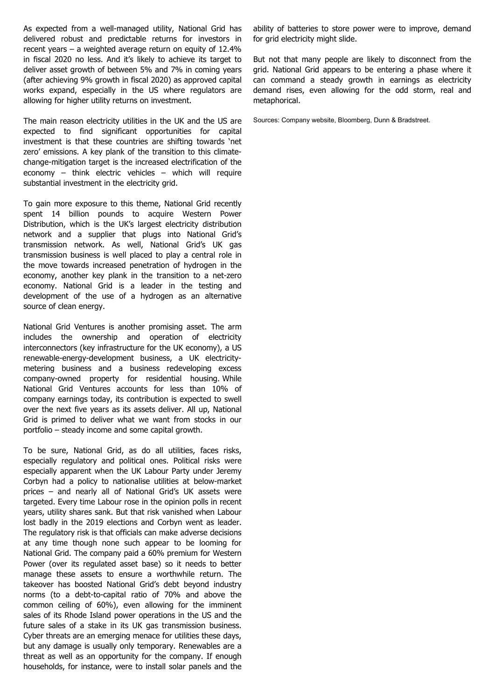As expected from a well-managed utility, National Grid has delivered robust and predictable returns for investors in recent years – a weighted average return on equity of 12.4% in fiscal 2020 no less. And it's likely to achieve its target to deliver asset growth of between 5% and 7% in coming years (after achieving 9% growth in fiscal 2020) as approved capital works expand, especially in the US where regulators are allowing for higher utility returns on investment.

The main reason electricity utilities in the UK and the US are expected to find significant opportunities for capital investment is that these countries are shifting towards 'net zero' emissions. A key plank of the transition to this climatechange-mitigation target is the increased electrification of the economy – think electric vehicles – which will require substantial investment in the electricity grid.

To gain more exposure to this theme, National Grid recently spent 14 billion pounds to acquire Western Power Distribution, which is the UK's largest electricity distribution network and a supplier that plugs into National Grid's transmission network. As well, National Grid's UK gas transmission business is well placed to play a central role in the move towards increased penetration of hydrogen in the economy, another key plank in the transition to a net-zero economy. National Grid is a leader in the testing and development of the use of a hydrogen as an alternative source of clean energy.

National Grid Ventures is another promising asset. The arm includes the ownership and operation of electricity interconnectors (key infrastructure for the UK economy), a US renewable-energy-development business, a UK electricitymetering business and a business redeveloping excess company-owned property for residential housing. While National Grid Ventures accounts for less than 10% of company earnings today, its contribution is expected to swell over the next five years as its assets deliver. All up, National Grid is primed to deliver what we want from stocks in our portfolio – steady income and some capital growth.

To be sure, National Grid, as do all utilities, faces risks, especially regulatory and political ones. Political risks were especially apparent when the UK Labour Party under Jeremy Corbyn had a policy to nationalise utilities at below-market prices – and nearly all of National Grid's UK assets were targeted. Every time Labour rose in the opinion polls in recent years, utility shares sank. But that risk vanished when Labour lost badly in the 2019 elections and Corbyn went as leader. The regulatory risk is that officials can make adverse decisions at any time though none such appear to be looming for National Grid. The company paid a 60% premium for Western Power (over its regulated asset base) so it needs to better manage these assets to ensure a worthwhile return. The takeover has boosted National Grid's debt beyond industry norms (to a debt-to-capital ratio of 70% and above the common ceiling of 60%), even allowing for the imminent sales of its Rhode Island power operations in the US and the future sales of a stake in its UK gas transmission business. Cyber threats are an emerging menace for utilities these days, but any damage is usually only temporary. Renewables are a threat as well as an opportunity for the company. If enough households, for instance, were to install solar panels and the

ability of batteries to store power were to improve, demand for grid electricity might slide.

But not that many people are likely to disconnect from the grid. National Grid appears to be entering a phase where it can command a steady growth in earnings as electricity demand rises, even allowing for the odd storm, real and metaphorical.

Sources: Company website, Bloomberg, Dunn & Bradstreet.